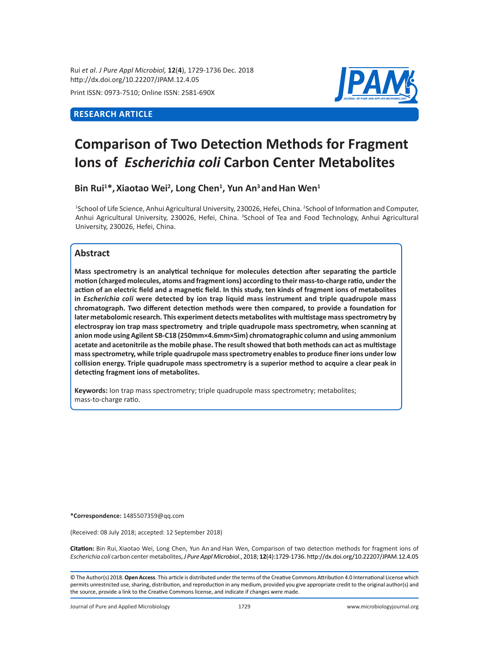Rui *et al*. *J Pure Appl Microbiol,* **12**(**4**), 1729-1736 Dec. 2018 http://dx.doi.org/10.22207/JPAM.12.4.05

Print ISSN: 0973-7510; Online ISSN: 2581-690X

## **RESEARCH ARTICLE**



# **Comparison of Two Detection Methods for Fragment Ions of** *Escherichia coli* **Carbon Center Metabolites**

Bin Rui<sup>1\*</sup>, Xiaotao Wei<sup>2</sup>, Long Chen<sup>1</sup>, Yun An<sup>3</sup> and Han Wen<sup>1</sup>

<sup>1</sup>School of Life Science, Anhui Agricultural University, 230026, Hefei, China. <sup>2</sup>School of Information and Computer, Anhui Agricultural University, 230026, Hefei, China. <sup>3</sup>School of Tea and Food Technology, Anhui Agricultural University, 230026, Hefei, China.

### **Abstract**

**Mass spectrometry is an analytical technique for molecules detection after separating the particle motion (charged molecules, atoms and fragment ions) according to their mass-to-charge ratio, under the action of an electric field and a magnetic field. In this study, ten kinds of fragment ions of metabolites in** *Escherichia coli* **were detected by ion trap liquid mass instrument and triple quadrupole mass chromatograph. Two different detection methods were then compared, to provide a foundation for later metabolomic research. This experiment detects metabolites with multistage mass spectrometry by electrospray ion trap mass spectrometry and triple quadrupole mass spectrometry, when scanning at anion mode using Agilent SB-C18 (250mm×4.6mm×5ìm) chromatographic column and using ammonium acetate and acetonitrile as the mobile phase. The result showed that both methods can act as multistage mass spectrometry, while triple quadrupole mass spectrometry enables to produce finer ions under low collision energy. Triple quadrupole mass spectrometry is a superior method to acquire a clear peak in detecting fragment ions of metabolites.** 

**Keywords:** Ion trap mass spectrometry; triple quadrupole mass spectrometry; metabolites; mass-to-charge ratio.

**\*Correspondence:** 1485507359@qq.com

(Received: 08 July 2018; accepted: 12 September 2018)

**Citation:** Bin Rui, Xiaotao Wei, Long Chen, Yun An and Han Wen, Comparison of two detection methods for fragment ions of *Escherichia coli* carbon center metabolites, *J Pure Appl Microbiol*., 2018; **12**(4):1729-1736. http://dx.doi.org/10.22207/JPAM.12.4.05

© The Author(s) 2018. **Open Access**. This article is distributed under the terms of the Creative Commons Attribution 4.0 International License which permits unrestricted use, sharing, distribution, and reproduction in any medium, provided you give appropriate credit to the original author(s) and the source, provide a link to the Creative Commons license, and indicate if changes were made.

Journal of Pure and Applied Microbiology 1729 www.microbiologyjournal.org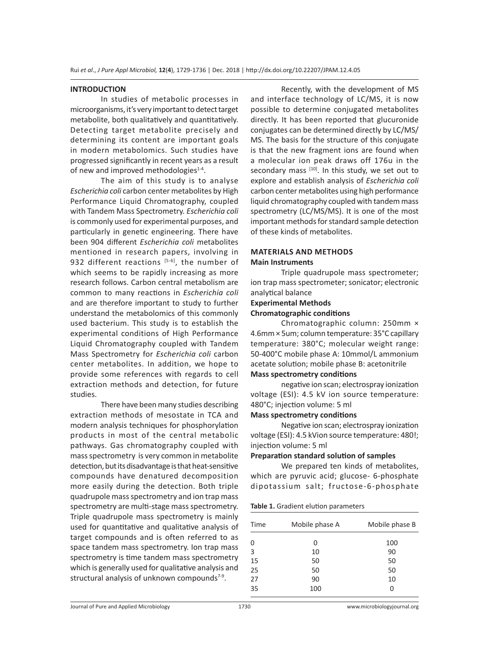### **INTRODUCTION**

In studies of metabolic processes in microorganisms, it's very important to detect target metabolite, both qualitatively and quantitatively. Detecting target metabolite precisely and determining its content are important goals in modern metabolomics. Such studies have progressed significantly in recent years as a result of new and improved methodologies<sup>1-4</sup>.

The aim of this study is to analyse *Escherichia coli* carbon center metabolites by High Performance Liquid Chromatography, coupled with Tandem Mass Spectrometry. *Escherichia coli* is commonly used for experimental purposes, and particularly in genetic engineering. There have been 904 different *Escherichia coli* metabolites mentioned in research papers, involving in 932 different reactions  $[5-6]$ , the number of which seems to be rapidly increasing as more research follows. Carbon central metabolism are common to many reactions in *Escherichia coli* and are therefore important to study to further understand the metabolomics of this commonly used bacterium. This study is to establish the experimental conditions of High Performance Liquid Chromatography coupled with Tandem Mass Spectrometry for *Escherichia coli* carbon center metabolites. In addition, we hope to provide some references with regards to cell extraction methods and detection, for future studies.

There have been many studies describing extraction methods of mesostate in TCA and modern analysis techniques for phosphorylation products in most of the central metabolic pathways. Gas chromatography coupled with mass spectrometry is very common in metabolite detection, but its disadvantage is that heat-sensitive compounds have denatured decomposition more easily during the detection. Both triple quadrupole mass spectrometry and ion trap mass spectrometry are multi-stage mass spectrometry. Triple quadrupole mass spectrometry is mainly used for quantitative and qualitative analysis of target compounds and is often referred to as space tandem mass spectrometry. Ion trap mass spectrometry is time tandem mass spectrometry which is generally used for qualitative analysis and structural analysis of unknown compounds $7-9$ .

Recently, with the development of MS and interface technology of LC/MS, it is now possible to determine conjugated metabolites directly. It has been reported that glucuronide conjugates can be determined directly by LC/MS/ MS. The basis for the structure of this conjugate is that the new fragment ions are found when a molecular ion peak draws off 176u in the secondary mass  $[10]$ . In this study, we set out to explore and establish analysis of *Escherichia coli* carbon center metabolites using high performance liquid chromatography coupled with tandem mass spectrometry (LC/MS/MS). It is one of the most important methods for standard sample detection of these kinds of metabolites.

### **MATERIALS AND METHODS Main Instruments**

Triple quadrupole mass spectrometer; ion trap mass spectrometer; sonicator; electronic analytical balance

### **Experimental Methods**

### **Chromatographic conditions**

Chromatographic column: 250mm × 4.6mm × 5um; column temperature: 35°C capillary temperature: 380°C; molecular weight range: 50-400°C mobile phase A: 10mmol/L ammonium acetate solution; mobile phase B: acetonitrile **Mass spectrometry conditions**

negative ion scan; electrospray ionization voltage (ESI): 4.5 kV ion source temperature: 480°C; injection volume: 5 ml

### **Mass spectrometry conditions**

Negative ion scan; electrospray ionization voltage (ESI): 4.5 kVion source temperature: 480!; injection volume: 5 ml

### **Preparation standard solution of samples**

We prepared ten kinds of metabolites, which are pyruvic acid; glucose- 6-phosphate dipotassium salt; fructose-6-phosphate

**Table 1.** Gradient elution parameters

| Mobile phase B |
|----------------|
|                |
|                |
|                |
|                |
|                |
|                |
|                |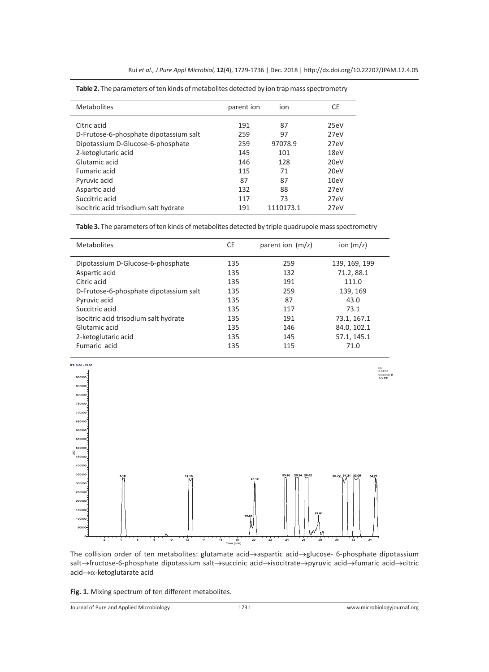| <b>Metabolites</b>                     | parent ion | ion       | CE   |
|----------------------------------------|------------|-----------|------|
| Citric acid                            | 191        | 87        | 25eV |
| D-Frutose-6-phosphate dipotassium salt | 259        | 97        | 27eV |
| Dipotassium D-Glucose-6-phosphate      | 259        | 97078.9   | 27eV |
| 2-ketoglutaric acid                    | 145        | 101       | 18eV |
| Glutamic acid                          | 146        | 128       | 20eV |
| Fumaric acid                           | 115        | 71        | 20eV |
| Pyruvic acid                           | 87         | 87        | 10eV |
| Aspartic acid                          | 132        | 88        | 27eV |
| Succitric acid                         | 117        | 73        | 27eV |
| Isocitric acid trisodium salt hydrate  | 191        | 1110173.1 | 27eV |
|                                        |            |           |      |

**Table 2.** The parameters of ten kinds of metabolites detected by ion trap mass spectrometry

**Table 3.** The parameters of ten kinds of metabolites detected by triple quadrupole mass spectrometry

| <b>Metabolites</b>                     | CE  | parent ion $(m/z)$ | ion $(m/z)$   |
|----------------------------------------|-----|--------------------|---------------|
| Dipotassium D-Glucose-6-phosphate      | 135 | 259                | 139, 169, 199 |
| Aspartic acid                          | 135 | 132                | 71.2, 88.1    |
| Citric acid                            | 135 | 191                | 111.0         |
| D-Frutose-6-phosphate dipotassium salt | 135 | 259                | 139, 169      |
| Pyruvic acid                           | 135 | 87                 | 43.0          |
| Succitric acid                         | 135 | 117                | 73.1          |
| Isocitric acid trisodium salt hydrate  | 135 | 191                | 73.1, 167.1   |
| Glutamic acid                          | 135 | 146                | 84.0, 102.1   |
| 2-ketoglutaric acid                    | 135 | 145                | 57.1, 145.1   |
| Fumaric acid                           | 135 | 115                | 71.0          |



The collision order of ten metabolites: glutamate acid→aspartic acid→glucose- 6-phosphate dipotassium salt→fructose-6-phosphate dipotassium salt→succinic acid→isocitrate→pyruvic acid→fumaric acid→citric acid→α-ketoglutarate acid

**Fig. 1.** Mixing spectrum of ten different metabolites.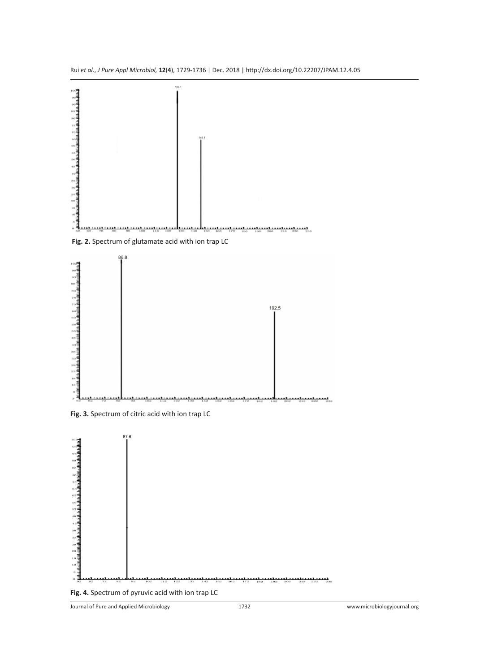

 **Fig. 2.** Spectrum of glutamate acid with ion trap LC







**Fig. 4.** Spectrum of pyruvic acid with ion trap LC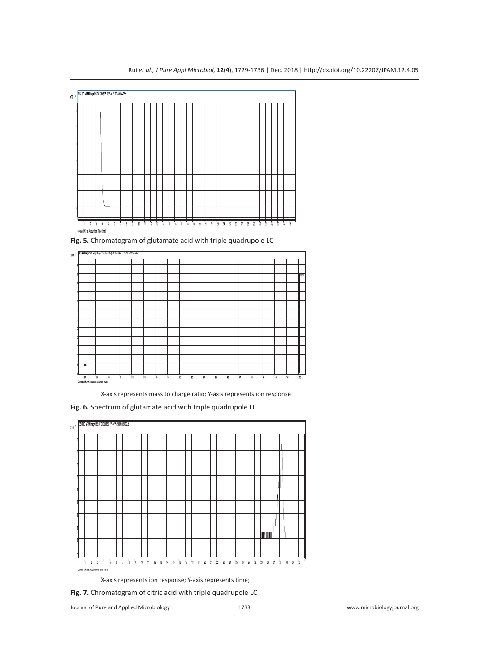

**Fig. 5.** Chromatogram of glutamate acid with triple quadrupole LC



X-axis represents mass to charge ratio; Y-axis represents ion response

**Fig. 6.** Spectrum of glutamate acid with triple quadrupole LC



X-axis represents ion response; Y-axis represents time;

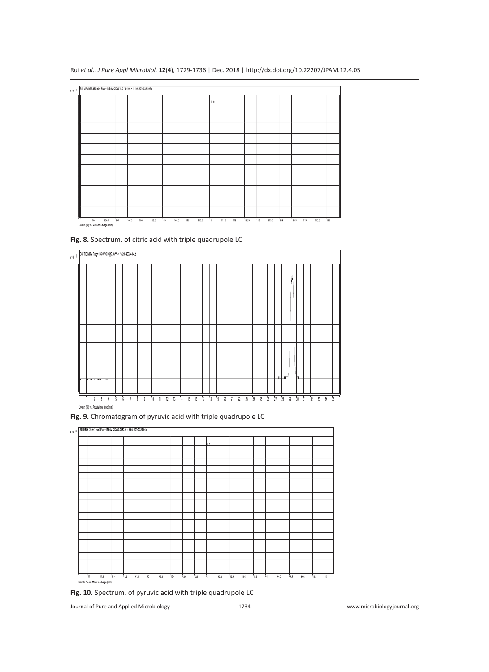| $x10^{-1}$ | ESI MRM (32.380 min) Frag=135.0V CID@15.0 (191.0 -> 111.0) 20140324-02.d |     |       |     |       |     |       |     |       |     |       |      |       |     |       |     |       |     |       |     |       |     |
|------------|--------------------------------------------------------------------------|-----|-------|-----|-------|-----|-------|-----|-------|-----|-------|------|-------|-----|-------|-----|-------|-----|-------|-----|-------|-----|
|            |                                                                          |     |       |     |       |     |       |     |       |     |       | HHO- |       |     |       |     |       |     |       |     |       |     |
|            |                                                                          |     |       |     |       |     |       |     |       |     |       |      |       |     |       |     |       |     |       |     |       |     |
|            |                                                                          |     |       |     |       |     |       |     |       |     |       |      |       |     |       |     |       |     |       |     |       |     |
|            |                                                                          |     |       |     |       |     |       |     |       |     |       |      |       |     |       |     |       |     |       |     |       |     |
|            |                                                                          |     |       |     |       |     |       |     |       |     |       |      |       |     |       |     |       |     |       |     |       |     |
|            |                                                                          |     |       |     |       |     |       |     |       |     |       |      |       |     |       |     |       |     |       |     |       |     |
|            |                                                                          |     |       |     |       |     |       |     |       |     |       |      |       |     |       |     |       |     |       |     |       |     |
|            |                                                                          |     |       |     |       |     |       |     |       |     |       |      |       |     |       |     |       |     |       |     |       |     |
|            |                                                                          |     |       |     |       |     |       |     |       |     |       |      |       |     |       |     |       |     |       |     |       |     |
|            |                                                                          |     |       |     |       |     |       |     |       |     |       |      |       |     |       |     |       |     |       |     |       |     |
|            |                                                                          |     |       |     |       |     |       |     |       |     |       |      |       |     |       |     |       |     |       |     |       |     |
|            |                                                                          |     |       |     |       |     |       |     |       |     |       |      |       |     |       |     |       |     |       |     |       |     |
|            | Counts (%) vs. Mass-to-Charge (m/z)                                      | 106 | 106.5 | 107 | 107.5 | 108 | 108.5 | 109 | 109.5 | 110 | 110.5 | -111 | 111.5 | 112 | 112.5 | 113 | 113.5 | 114 | 114.5 | 115 | 115.5 | 116 |

Rui *et al*., *J Pure Appl Microbiol,* **12**(**4**), 1729-1736 | Dec. 2018 | http://dx.doi.org/10.22207/JPAM.12.4.05

**Fig. 8.** Spectrum. of citric acid with triple quadrupole LC







**Fig. 10.** Spectrum. of pyruvic acid with triple quadrupole LC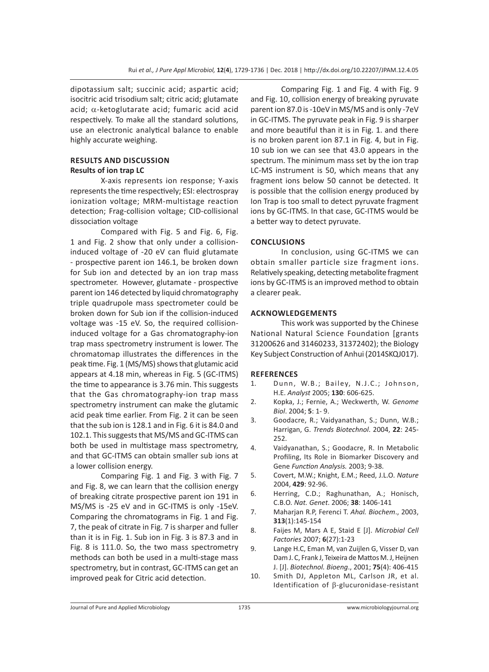dipotassium salt; succinic acid; aspartic acid; isocitric acid trisodium salt; citric acid; glutamate acid;  $\alpha$ -ketoglutarate acid; fumaric acid acid respectively. To make all the standard solutions, use an electronic analytical balance to enable highly accurate weighing.

### **RESULTS AND DISCUSSION Results of ion trap LC**

X-axis represents ion response; Y-axis represents the time respectively; ESI: electrospray ionization voltage; MRM-multistage reaction detection; Frag-collision voltage; CID-collisional dissociation voltage

Compared with Fig. 5 and Fig. 6, Fig. 1 and Fig. 2 show that only under a collisioninduced voltage of -20 eV can fluid glutamate - prospective parent ion 146.1, be broken down for Sub ion and detected by an ion trap mass spectrometer. However, glutamate - prospective parent ion 146 detected by liquid chromatography triple quadrupole mass spectrometer could be broken down for Sub ion if the collision-induced voltage was -15 eV. So, the required collisioninduced voltage for a Gas chromatography-ion trap mass spectrometry instrument is lower. The chromatomap illustrates the differences in the peak time. Fig. 1 (MS/MS) shows that glutamic acid appears at 4.18 min, whereas in Fig. 5 (GC-ITMS) the time to appearance is 3.76 min. This suggests that the Gas chromatography-ion trap mass spectrometry instrument can make the glutamic acid peak time earlier. From Fig. 2 it can be seen that the sub ion is 128.1 and in Fig. 6 it is 84.0 and 102.1. This suggests that MS/MS and GC-ITMS can both be used in multistage mass spectrometry, and that GC-ITMS can obtain smaller sub ions at a lower collision energy.

Comparing Fig. 1 and Fig. 3 with Fig. 7 and Fig. 8, we can learn that the collision energy of breaking citrate prospective parent ion 191 in MS/MS is -25 eV and in GC-ITMS is only -15eV. Comparing the chromatograms in Fig. 1 and Fig. 7, the peak of citrate in Fig. 7 is sharper and fuller than it is in Fig. 1. Sub ion in Fig. 3 is 87.3 and in Fig. 8 is 111.0. So, the two mass spectrometry methods can both be used in a multi-stage mass spectrometry, but in contrast, GC-ITMS can get an improved peak for Citric acid detection.

Comparing Fig. 1 and Fig. 4 with Fig. 9 and Fig. 10, collision energy of breaking pyruvate parent ion 87.0 is -10eV in MS/MS and is only -7eV in GC-ITMS. The pyruvate peak in Fig. 9 is sharper and more beautiful than it is in Fig. 1. and there is no broken parent ion 87.1 in Fig. 4, but in Fig. 10 sub ion we can see that 43.0 appears in the spectrum. The minimum mass set by the ion trap LC-MS instrument is 50, which means that any fragment ions below 50 cannot be detected. It is possible that the collision energy produced by Ion Trap is too small to detect pyruvate fragment ions by GC-ITMS. In that case, GC-ITMS would be a better way to detect pyruvate.

### **CONCLUSIONS**

In conclusion, using GC-ITMS we can obtain smaller particle size fragment ions. Relatively speaking, detecting metabolite fragment ions by GC-ITMS is an improved method to obtain a clearer peak.

### **ACKNOWLEDGEMENTS**

This work was supported by the Chinese National Natural Science Foundation [grants 31200626 and 31460233, 31372402); the Biology Key Subject Construction of Anhui (2014SKQJ017).

### **REFERENCES**

- 1. Dunn, W.B.; Bailey, N.J.C.; Johnson, H.E. *Analyst* 2005; **130**: 606-625.
- 2. Kopka, J.; Fernie, A.; Weckwerth, W. *Genome Biol*. 2004; **5**: 1- 9.
- 3. Goodacre, R.; Vaidyanathan, S.; Dunn, W.B.; Harrigan, G. *Trends Biotechnol*. 2004, **22**: 245- 252.
- 4. Vaidyanathan, S.; Goodacre, R. In Metabolic Profiling, Its Role in Biomarker Discovery and Gene *Function Analysis.* 2003; 9-38.
- 5. Covert, M.W.; Knight, E.M.; Reed, J.L.O. *Nature*  2004, **429**: 92-96.
- 6. Herring, C.D.; Raghunathan, A.; Honisch, C.B.O*. Nat. Genet*. 2006; **38**: 1406-141
- 7. Maharjan R.P, Ferenci T. *Ahal. Biochem*., 2003, **313**(1):145-154
- 8. Faijes M, Mars A E, Staid E [J]. *Microbial Cell Factories* 2007; **6**(27):1-23
- 9. Lange H.C, Eman M, van Zuijlen G, Visser D, van Dam J. C, Frank J, Teixeira de Mattos M. J, Heijnen J. [J]. *Biotechnol. Bioeng*., 2001; **75**(4): 406-415
- 10. Smith DJ, Appleton ML, Carlson JR, et al. Identification of  $\beta$ -glucuronidase-resistant